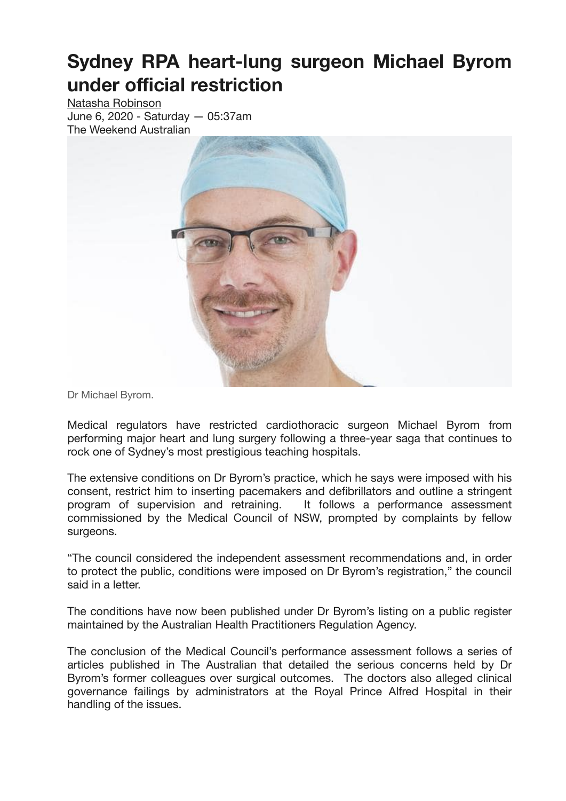## **Sydney RPA heart-lung surgeon Michael Byrom under official restriction**

[Natasha Robinson](https://www.theaustralian.com.au/author/Natasha+Robinson) June 6, 2020 - Saturday — 05:37am The Weekend Australian



Dr Michael Byrom.

Medical regulators have restricted cardiothoracic surgeon Michael Byrom from performing major heart and lung surgery following a three-year saga that continues to rock one of Sydney's most prestigious teaching hospitals.

The extensive conditions on Dr Byrom's practice, which he says were imposed with his consent, restrict him to inserting pacemakers and defibrillators and outline a stringent program of supervision and retraining. It follows a performance assessment commissioned by the Medical Council of NSW, prompted by complaints by fellow surgeons.

"The council considered the independent assessment recommendations and, in order to protect the public, conditions were imposed on Dr Byrom's registration," the council said in a letter.

The conditions have now been published under Dr Byrom's listing on a public register maintained by the Australian Health Practitioners Regulation Agency.

The conclusion of the Medical Council's performance assessment follows a series of articles published in The Australian that detailed the serious concerns held by Dr Byrom's former colleagues over surgical outcomes. The doctors also alleged clinical governance failings by administrators at the Royal Prince Alfred Hospital in their handling of the issues.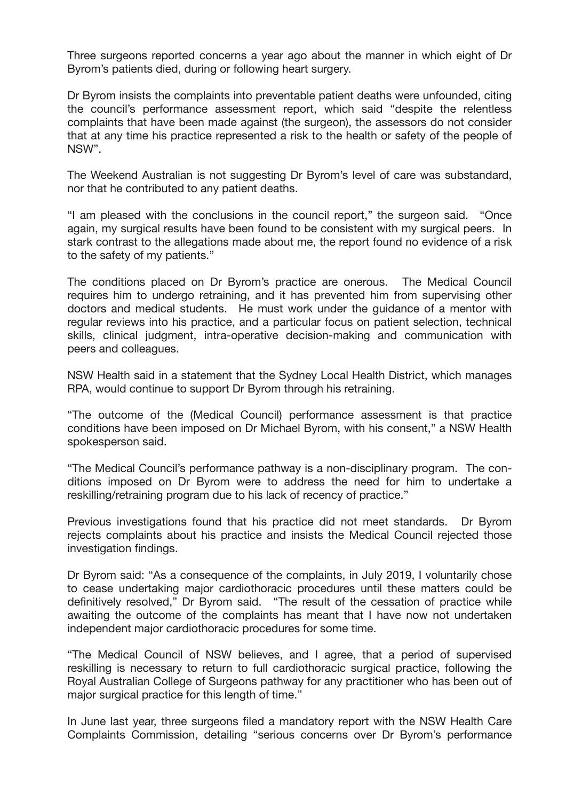Three surgeons reported concerns a year ago about the manner in which eight of Dr Byrom's patients died, during or following heart surgery.

Dr Byrom insists the complaints into preventable patient deaths were unfounded, citing the council's performance assessment report, which said "despite the relentless complaints that have been made against (the surgeon), the assessors do not consider that at any time his practice represented a risk to the health or safety of the people of NSW".

The Weekend Australian is not suggesting Dr Byrom's level of care was substandard, nor that he contributed to any patient deaths.

"I am pleased with the conclusions in the council report," the surgeon said. "Once again, my surgical results have been found to be consistent with my surgical peers. In stark contrast to the allegations made about me, the report found no evidence of a risk to the safety of my patients."

The conditions placed on Dr Byrom's practice are onerous. The Medical Council requires him to undergo retraining, and it has prevented him from supervising other doctors and medical students. He must work under the guidance of a mentor with regular reviews into his practice, and a particular focus on patient selection, technical skills, clinical judgment, intra-operative decision-making and communication with peers and colleagues.

NSW Health said in a statement that the Sydney Local Health District, which manages RPA, would continue to support Dr Byrom through his retraining.

"The outcome of the (Medical Council) performance assessment is that practice conditions have been imposed on Dr Michael Byrom, with his consent," a NSW Health spokesperson said.

"The Medical Council's performance pathway is a non-disciplinary program. The conditions imposed on Dr Byrom were to address the need for him to undertake a reskilling/retraining program due to his lack of recency of practice."

Previous investigations found that his practice did not meet standards. Dr Byrom rejects complaints about his practice and insists the Medical Council rejected those investigation findings.

Dr Byrom said: "As a consequence of the complaints, in July 2019, I voluntarily chose to cease undertaking major cardiothoracic procedures until these matters could be definitively resolved," Dr Byrom said. "The result of the cessation of practice while awaiting the outcome of the complaints has meant that I have now not undertaken independent major cardiothoracic procedures for some time.

"The Medical Council of NSW believes, and I agree, that a period of supervised reskilling is necessary to return to full cardiothoracic surgical practice, following the Royal Australian College of Surgeons pathway for any practitioner who has been out of major surgical practice for this length of time."

In June last year, three surgeons filed a mandatory report with the NSW Health Care Complaints Commission, detailing "serious concerns over Dr Byrom's performance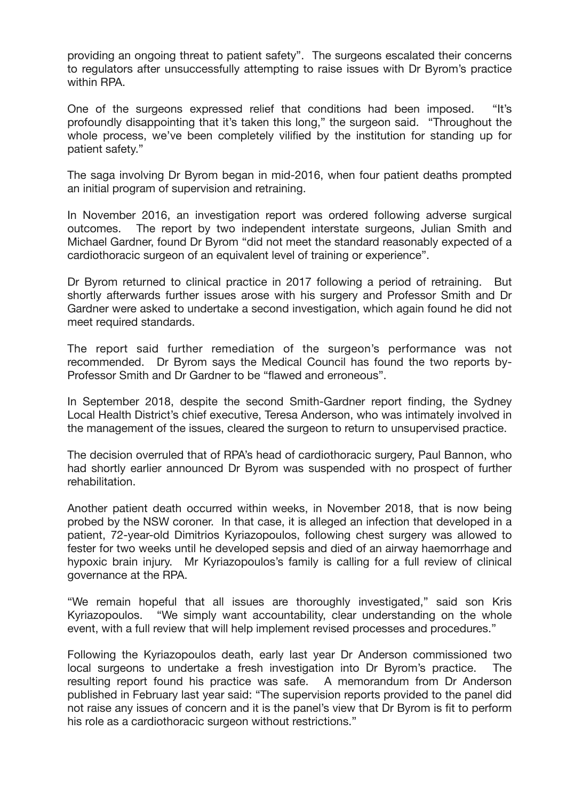providing an ongoing threat to patient safety". The surgeons escalated their concerns to regulators after unsuccessfully attempting to raise issues with Dr Byrom's practice within RPA.

One of the surgeons expressed relief that conditions had been imposed. "It's profoundly disappointing that it's taken this long," the surgeon said. "Throughout the whole process, we've been completely vilified by the institution for standing up for patient safety."

The saga involving Dr Byrom began in mid-2016, when four patient deaths prompted an initial program of supervision and retraining.

In November 2016, an investigation report was ordered following adverse surgical outcomes. The report by two independent interstate surgeons, Julian Smith and Michael Gardner, found Dr Byrom "did not meet the standard reasonably expected of a cardiothoracic surgeon of an equivalent level of training or experience".

Dr Byrom returned to clinical practice in 2017 following a period of retraining. But shortly afterwards further issues arose with his surgery and Professor Smith and Dr Gardner were asked to undertake a second investigation, which again found he did not meet required standards.

The report said further remediation of the surgeon's performance was not recommended. Dr Byrom says the Medical Council has found the two reports by-Professor Smith and Dr Gardner to be "flawed and erroneous".

In September 2018, despite the second Smith-Gardner report finding, the Sydney Local Health District's chief executive, Teresa Anderson, who was intimately involved in the management of the issues, cleared the surgeon to return to unsupervised practice.

The decision overruled that of RPA's head of cardiothoracic surgery, Paul Bannon, who had shortly earlier announced Dr Byrom was suspended with no prospect of further rehabilitation.

Another patient death occurred within weeks, in November 2018, that is now being probed by the NSW coroner. In that case, it is alleged an infection that developed in a patient, 72-year-old Dimitrios Kyriazopoulos, following chest surgery was allowed to fester for two weeks until he developed sepsis and died of an airway haemorrhage and hypoxic brain injury. Mr Kyriazopoulos's family is calling for a full review of clinical governance at the RPA.

"We remain hopeful that all issues are thoroughly investigated," said son Kris Kyriazopoulos. "We simply want accountability, clear understanding on the whole event, with a full review that will help implement revised processes and procedures."

Following the Kyriazopoulos death, early last year Dr Anderson commissioned two local surgeons to undertake a fresh investigation into Dr Byrom's practice. The resulting report found his practice was safe. A memorandum from Dr Anderson published in February last year said: "The supervision reports provided to the panel did not raise any issues of concern and it is the panel's view that Dr Byrom is fit to perform his role as a cardiothoracic surgeon without restrictions."